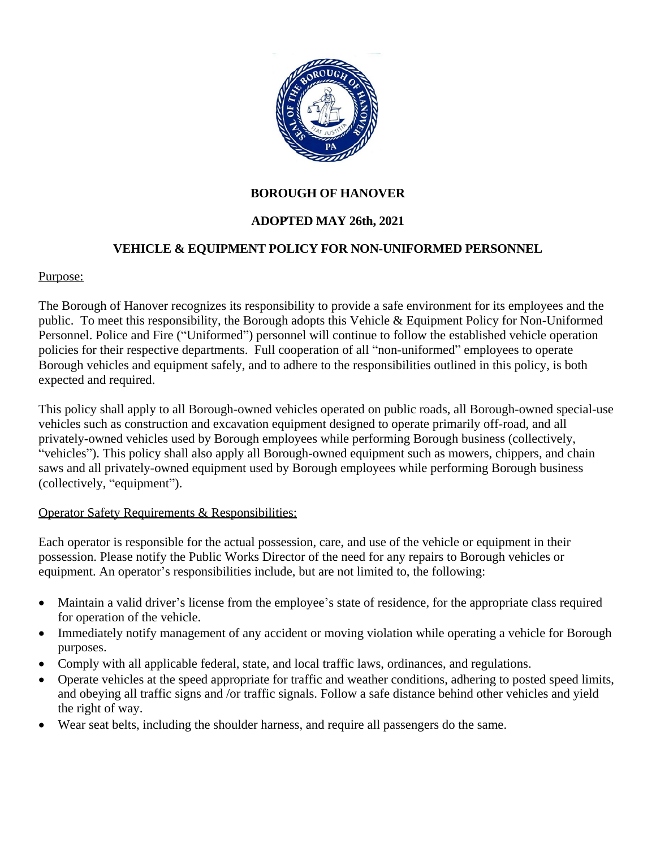

### **BOROUGH OF HANOVER**

### **ADOPTED MAY 26th, 2021**

#### **VEHICLE & EQUIPMENT POLICY FOR NON-UNIFORMED PERSONNEL**

#### Purpose:

The Borough of Hanover recognizes its responsibility to provide a safe environment for its employees and the public. To meet this responsibility, the Borough adopts this Vehicle & Equipment Policy for Non-Uniformed Personnel. Police and Fire ("Uniformed") personnel will continue to follow the established vehicle operation policies for their respective departments. Full cooperation of all "non-uniformed" employees to operate Borough vehicles and equipment safely, and to adhere to the responsibilities outlined in this policy, is both expected and required.

This policy shall apply to all Borough-owned vehicles operated on public roads, all Borough-owned special-use vehicles such as construction and excavation equipment designed to operate primarily off-road, and all privately-owned vehicles used by Borough employees while performing Borough business (collectively, "vehicles"). This policy shall also apply all Borough-owned equipment such as mowers, chippers, and chain saws and all privately-owned equipment used by Borough employees while performing Borough business (collectively, "equipment").

#### Operator Safety Requirements & Responsibilities:

Each operator is responsible for the actual possession, care, and use of the vehicle or equipment in their possession. Please notify the Public Works Director of the need for any repairs to Borough vehicles or equipment. An operator's responsibilities include, but are not limited to, the following:

- Maintain a valid driver's license from the employee's state of residence, for the appropriate class required for operation of the vehicle.
- Immediately notify management of any accident or moving violation while operating a vehicle for Borough purposes.
- Comply with all applicable federal, state, and local traffic laws, ordinances, and regulations.
- Operate vehicles at the speed appropriate for traffic and weather conditions, adhering to posted speed limits, and obeying all traffic signs and /or traffic signals. Follow a safe distance behind other vehicles and yield the right of way.
- Wear seat belts, including the shoulder harness, and require all passengers do the same.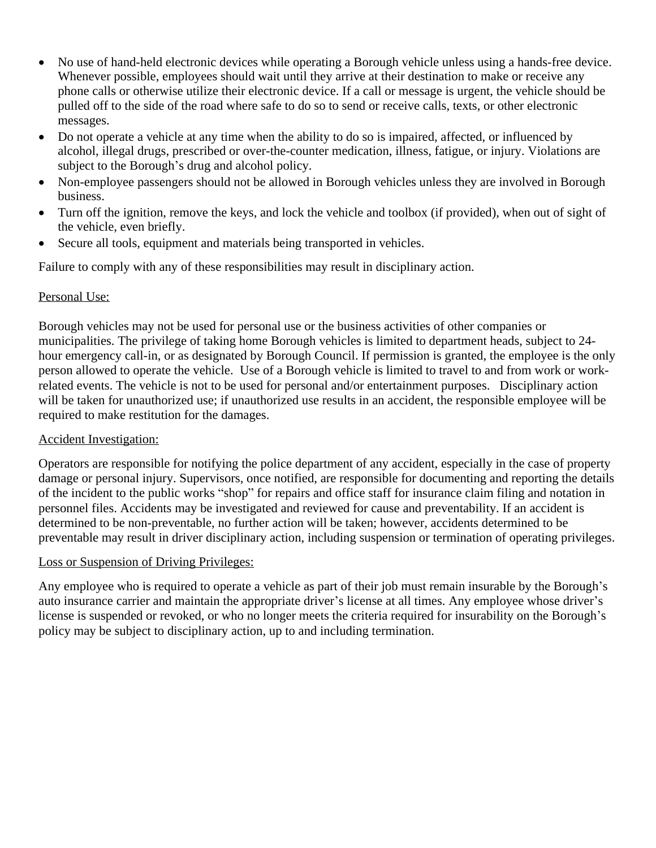- No use of hand-held electronic devices while operating a Borough vehicle unless using a hands-free device. Whenever possible, employees should wait until they arrive at their destination to make or receive any phone calls or otherwise utilize their electronic device. If a call or message is urgent, the vehicle should be pulled off to the side of the road where safe to do so to send or receive calls, texts, or other electronic messages.
- Do not operate a vehicle at any time when the ability to do so is impaired, affected, or influenced by alcohol, illegal drugs, prescribed or over-the-counter medication, illness, fatigue, or injury. Violations are subject to the Borough's drug and alcohol policy.
- Non-employee passengers should not be allowed in Borough vehicles unless they are involved in Borough business.
- Turn off the ignition, remove the keys, and lock the vehicle and toolbox (if provided), when out of sight of the vehicle, even briefly.
- Secure all tools, equipment and materials being transported in vehicles.

Failure to comply with any of these responsibilities may result in disciplinary action.

### Personal Use:

Borough vehicles may not be used for personal use or the business activities of other companies or municipalities. The privilege of taking home Borough vehicles is limited to department heads, subject to 24 hour emergency call-in, or as designated by Borough Council. If permission is granted, the employee is the only person allowed to operate the vehicle. Use of a Borough vehicle is limited to travel to and from work or workrelated events. The vehicle is not to be used for personal and/or entertainment purposes. Disciplinary action will be taken for unauthorized use; if unauthorized use results in an accident, the responsible employee will be required to make restitution for the damages.

# Accident Investigation:

Operators are responsible for notifying the police department of any accident, especially in the case of property damage or personal injury. Supervisors, once notified, are responsible for documenting and reporting the details of the incident to the public works "shop" for repairs and office staff for insurance claim filing and notation in personnel files. Accidents may be investigated and reviewed for cause and preventability. If an accident is determined to be non-preventable, no further action will be taken; however, accidents determined to be preventable may result in driver disciplinary action, including suspension or termination of operating privileges.

# Loss or Suspension of Driving Privileges:

Any employee who is required to operate a vehicle as part of their job must remain insurable by the Borough's auto insurance carrier and maintain the appropriate driver's license at all times. Any employee whose driver's license is suspended or revoked, or who no longer meets the criteria required for insurability on the Borough's policy may be subject to disciplinary action, up to and including termination.